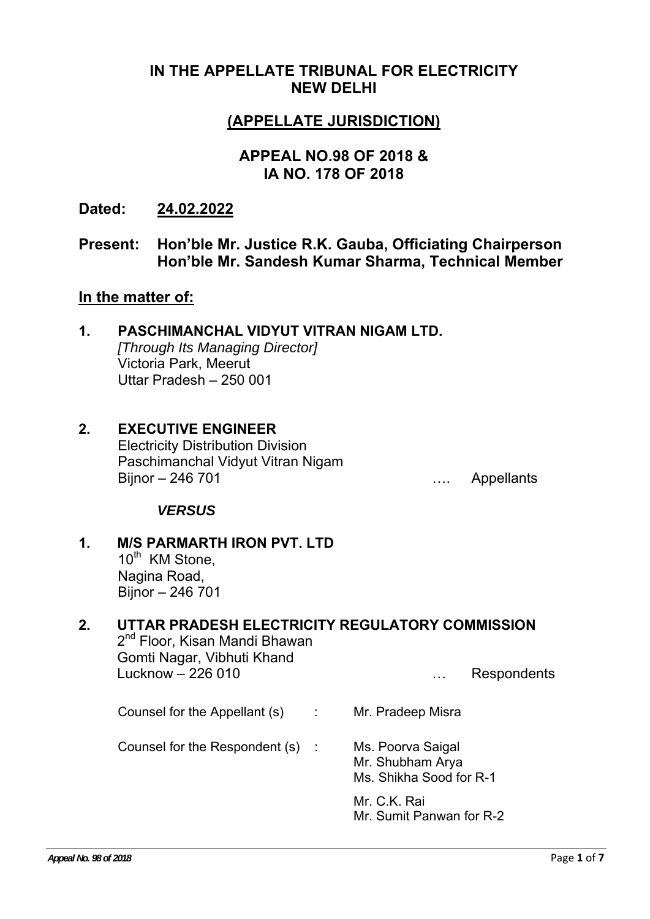# **IN THE APPELLATE TRIBUNAL FOR ELECTRICITY NEW DELHI**

# **(APPELLATE JURISDICTION)**

# **APPEAL NO.98 OF 2018 & IA NO. 178 OF 2018**

**Dated: 24.02.2022**

## **Present: Hon'ble Mr. Justice R.K. Gauba, Officiating Chairperson Hon'ble Mr. Sandesh Kumar Sharma, Technical Member**

#### **In the matter of:**

| $\mathbf 1$ | PASCHIMANCHAL VIDYUT VITRAN NIGAM LTD. |
|-------------|----------------------------------------|
|             | [Through Its Managing Director]        |
|             | Victoria Park, Meerut                  |
|             | Uttar Pradesh - 250 001                |
|             |                                        |

#### **2. EXECUTIVE ENGINEER**  Electricity Distribution Division Paschimanchal Vidyut Vitran Nigam Bijnor – 246 701 metalants and the set of the set of the set of the set of the set of the set of the set of the set of the set of the set of the set of the set of the set of the set of the set of the set of the set of the

### *VERSUS*

### **1. M/S PARMARTH IRON PVT. LTD**  10<sup>th</sup> KM Stone.

Nagina Road, Bijnor – 246 701

# **2. UTTAR PRADESH ELECTRICITY REGULATORY COMMISSION**  2<sup>nd</sup> Floor, Kisan Mandi Bhawan Gomti Nagar, Vibhuti Khand Lucknow – 226 010 metal metal metal with the Respondents

Counsel for the Appellant (s) : Mr. Pradeep Misra

Counsel for the Respondent (s) : Ms. Poorva Saigal

Mr. Shubham Arya Ms. Shikha Sood for R-1

Mr. C.K. Rai Mr. Sumit Panwan for R-2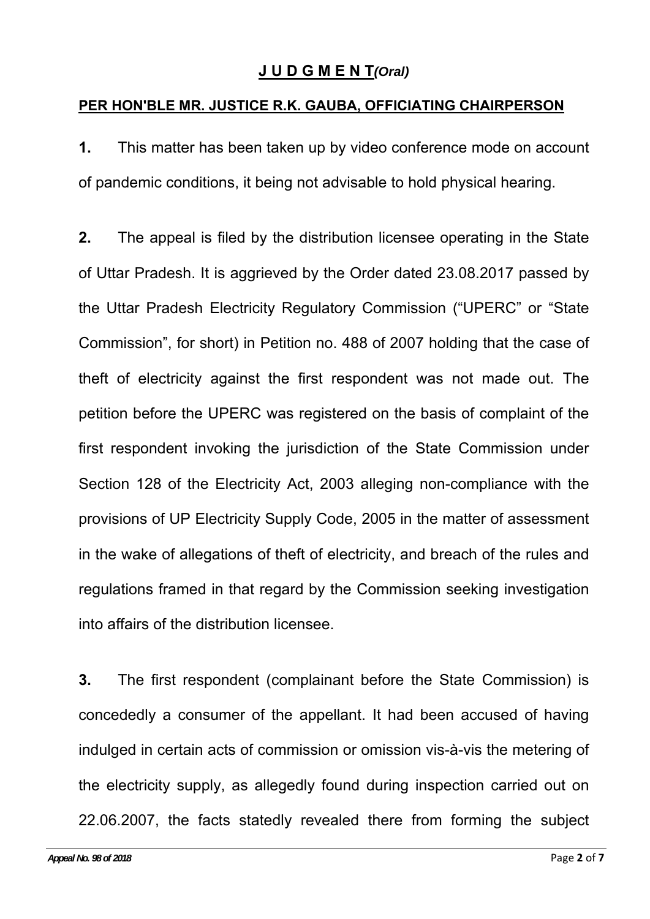# **J U D G M E N T***(Oral)*

## **PER HON'BLE MR. JUSTICE R.K. GAUBA, OFFICIATING CHAIRPERSON**

**1.** This matter has been taken up by video conference mode on account of pandemic conditions, it being not advisable to hold physical hearing.

**2.** The appeal is filed by the distribution licensee operating in the State of Uttar Pradesh. It is aggrieved by the Order dated 23.08.2017 passed by the Uttar Pradesh Electricity Regulatory Commission ("UPERC" or "State Commission", for short) in Petition no. 488 of 2007 holding that the case of theft of electricity against the first respondent was not made out. The petition before the UPERC was registered on the basis of complaint of the first respondent invoking the jurisdiction of the State Commission under Section 128 of the Electricity Act, 2003 alleging non-compliance with the provisions of UP Electricity Supply Code, 2005 in the matter of assessment in the wake of allegations of theft of electricity, and breach of the rules and regulations framed in that regard by the Commission seeking investigation into affairs of the distribution licensee.

**3.** The first respondent (complainant before the State Commission) is concededly a consumer of the appellant. It had been accused of having indulged in certain acts of commission or omission vis-à-vis the metering of the electricity supply, as allegedly found during inspection carried out on 22.06.2007, the facts statedly revealed there from forming the subject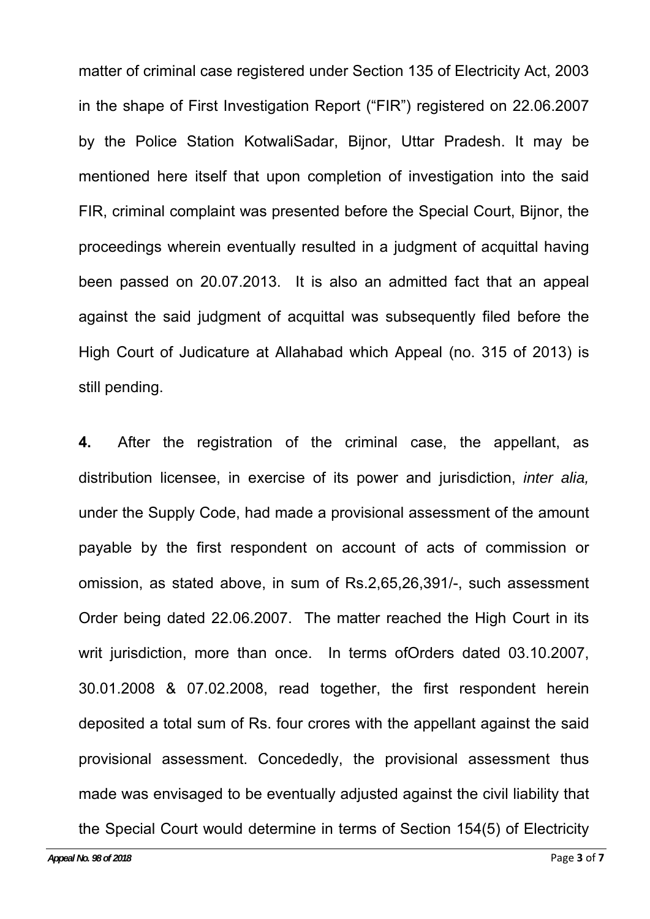matter of criminal case registered under Section 135 of Electricity Act, 2003 in the shape of First Investigation Report ("FIR") registered on 22.06.2007 by the Police Station KotwaliSadar, Bijnor, Uttar Pradesh. It may be mentioned here itself that upon completion of investigation into the said FIR, criminal complaint was presented before the Special Court, Bijnor, the proceedings wherein eventually resulted in a judgment of acquittal having been passed on 20.07.2013. It is also an admitted fact that an appeal against the said judgment of acquittal was subsequently filed before the High Court of Judicature at Allahabad which Appeal (no. 315 of 2013) is still pending.

**4.** After the registration of the criminal case, the appellant, as distribution licensee, in exercise of its power and jurisdiction, *inter alia,* under the Supply Code, had made a provisional assessment of the amount payable by the first respondent on account of acts of commission or omission, as stated above, in sum of Rs.2,65,26,391/-, such assessment Order being dated 22.06.2007. The matter reached the High Court in its writ jurisdiction, more than once. In terms ofOrders dated 03.10.2007, 30.01.2008 & 07.02.2008, read together, the first respondent herein deposited a total sum of Rs. four crores with the appellant against the said provisional assessment. Concededly, the provisional assessment thus made was envisaged to be eventually adjusted against the civil liability that the Special Court would determine in terms of Section 154(5) of Electricity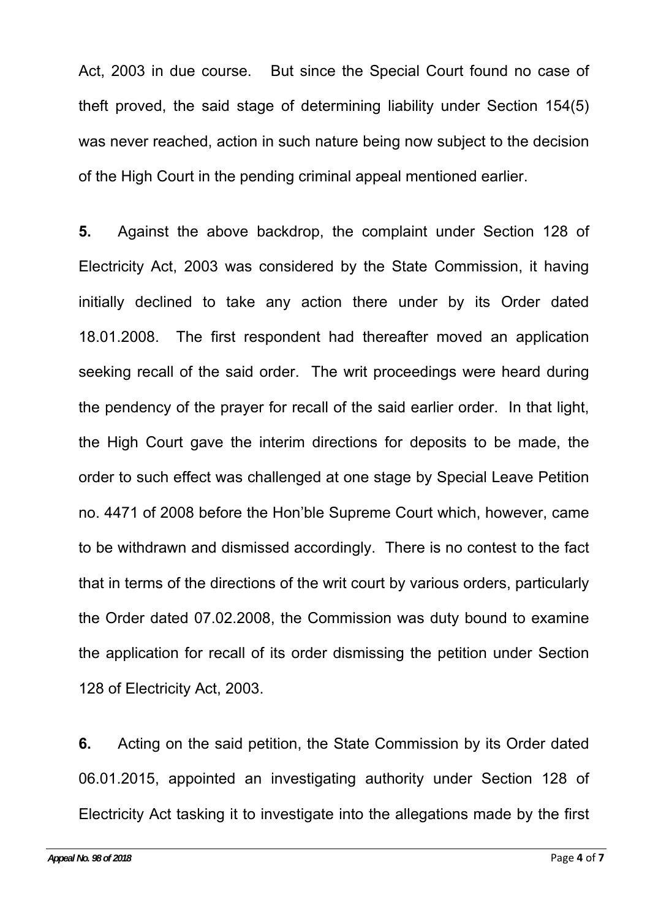Act, 2003 in due course. But since the Special Court found no case of theft proved, the said stage of determining liability under Section 154(5) was never reached, action in such nature being now subject to the decision of the High Court in the pending criminal appeal mentioned earlier.

**5.** Against the above backdrop, the complaint under Section 128 of Electricity Act, 2003 was considered by the State Commission, it having initially declined to take any action there under by its Order dated 18.01.2008. The first respondent had thereafter moved an application seeking recall of the said order. The writ proceedings were heard during the pendency of the prayer for recall of the said earlier order. In that light, the High Court gave the interim directions for deposits to be made, the order to such effect was challenged at one stage by Special Leave Petition no. 4471 of 2008 before the Hon'ble Supreme Court which, however, came to be withdrawn and dismissed accordingly. There is no contest to the fact that in terms of the directions of the writ court by various orders, particularly the Order dated 07.02.2008, the Commission was duty bound to examine the application for recall of its order dismissing the petition under Section 128 of Electricity Act, 2003.

**6.** Acting on the said petition, the State Commission by its Order dated 06.01.2015, appointed an investigating authority under Section 128 of Electricity Act tasking it to investigate into the allegations made by the first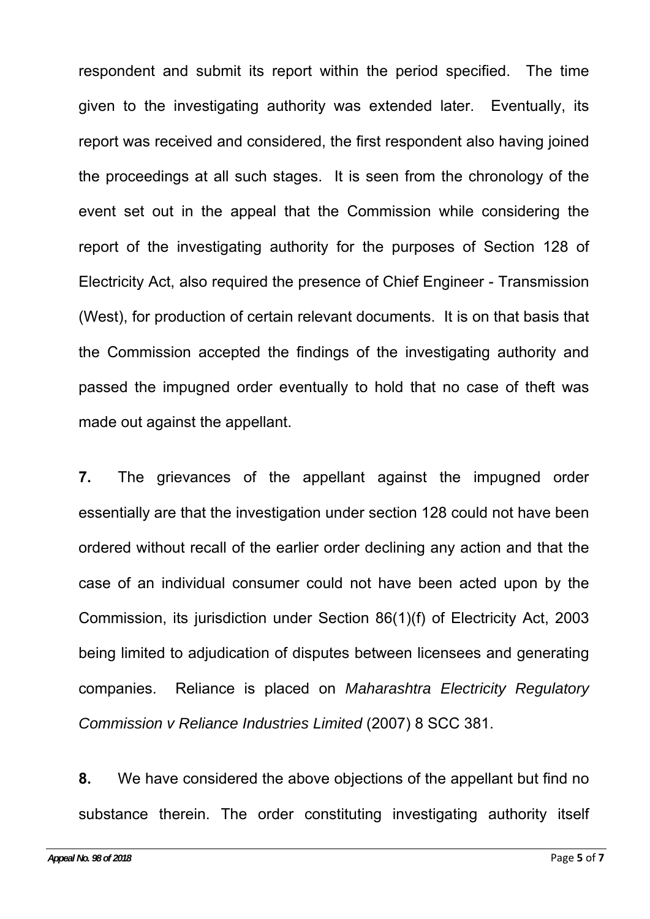respondent and submit its report within the period specified. The time given to the investigating authority was extended later. Eventually, its report was received and considered, the first respondent also having joined the proceedings at all such stages. It is seen from the chronology of the event set out in the appeal that the Commission while considering the report of the investigating authority for the purposes of Section 128 of Electricity Act, also required the presence of Chief Engineer - Transmission (West), for production of certain relevant documents. It is on that basis that the Commission accepted the findings of the investigating authority and passed the impugned order eventually to hold that no case of theft was made out against the appellant.

**7.** The grievances of the appellant against the impugned order essentially are that the investigation under section 128 could not have been ordered without recall of the earlier order declining any action and that the case of an individual consumer could not have been acted upon by the Commission, its jurisdiction under Section 86(1)(f) of Electricity Act, 2003 being limited to adjudication of disputes between licensees and generating companies. Reliance is placed on *Maharashtra Electricity Regulatory Commission v Reliance Industries Limited* (2007) 8 SCC 381.

**8.** We have considered the above objections of the appellant but find no substance therein. The order constituting investigating authority itself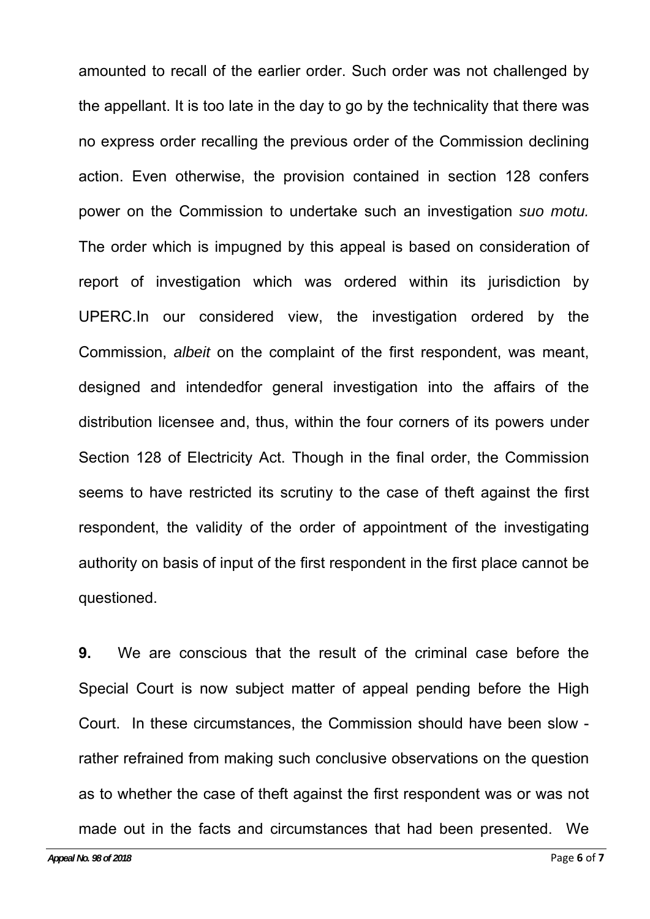amounted to recall of the earlier order. Such order was not challenged by the appellant. It is too late in the day to go by the technicality that there was no express order recalling the previous order of the Commission declining action. Even otherwise, the provision contained in section 128 confers power on the Commission to undertake such an investigation *suo motu.* The order which is impugned by this appeal is based on consideration of report of investigation which was ordered within its jurisdiction by UPERC.In our considered view, the investigation ordered by the Commission, *albeit* on the complaint of the first respondent, was meant, designed and intendedfor general investigation into the affairs of the distribution licensee and, thus, within the four corners of its powers under Section 128 of Electricity Act. Though in the final order, the Commission seems to have restricted its scrutiny to the case of theft against the first respondent, the validity of the order of appointment of the investigating authority on basis of input of the first respondent in the first place cannot be questioned.

**9.** We are conscious that the result of the criminal case before the Special Court is now subject matter of appeal pending before the High Court. In these circumstances, the Commission should have been slow rather refrained from making such conclusive observations on the question as to whether the case of theft against the first respondent was or was not made out in the facts and circumstances that had been presented. We